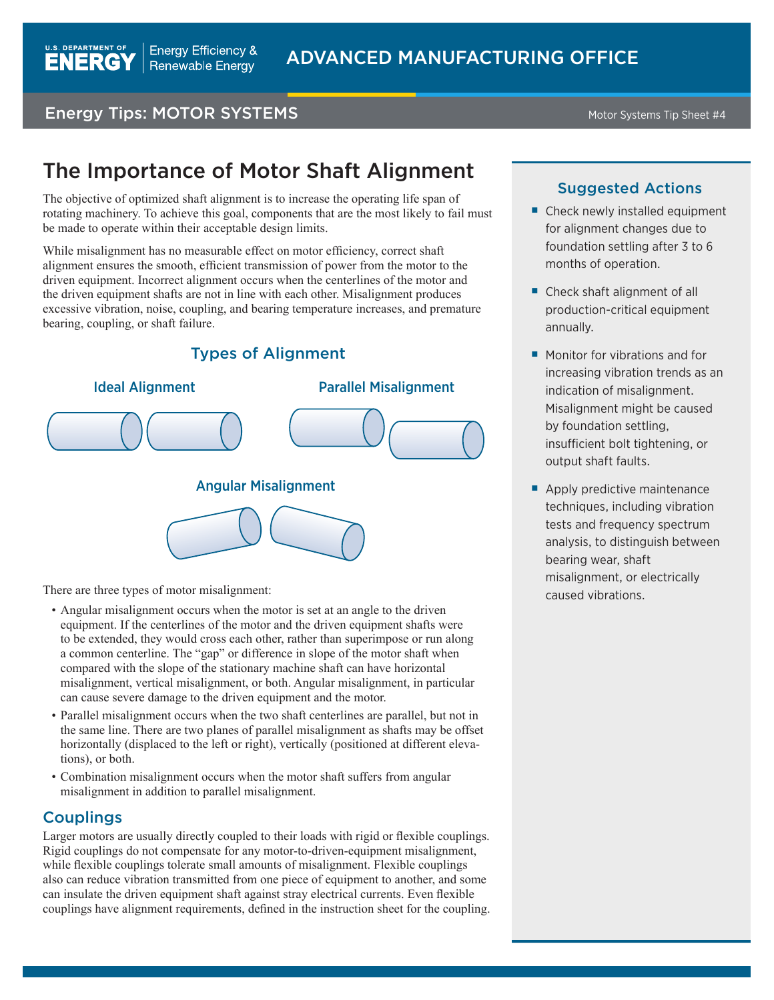# **Energy Tips: MOTOR SYSTEMS** Motor Systems Tip Sheet #4

# The Importance of Motor Shaft Alignment

The objective of optimized shaft alignment is to increase the operating life span of rotating machinery. To achieve this goal, components that are the most likely to fail must be made to operate within their acceptable design limits.

While misalignment has no measurable effect on motor efficiency, correct shaft alignment ensures the smooth, efficient transmission of power from the motor to the driven equipment. Incorrect alignment occurs when the centerlines of the motor and the driven equipment shafts are not in line with each other. Misalignment produces excessive vibration, noise, coupling, and bearing temperature increases, and premature bearing, coupling, or shaft failure.

## Types of Alignment



There are three types of motor misalignment:

- Angular misalignment occurs when the motor is set at an angle to the driven equipment. If the centerlines of the motor and the driven equipment shafts were to be extended, they would cross each other, rather than superimpose or run along a common centerline. The "gap" or difference in slope of the motor shaft when compared with the slope of the stationary machine shaft can have horizontal misalignment, vertical misalignment, or both. Angular misalignment, in particular can cause severe damage to the driven equipment and the motor.
- Parallel misalignment occurs when the two shaft centerlines are parallel, but not in the same line. There are two planes of parallel misalignment as shafts may be offset horizontally (displaced to the left or right), vertically (positioned at different elevations), or both.
- Combination misalignment occurs when the motor shaft suffers from angular misalignment in addition to parallel misalignment.

### Couplings

Larger motors are usually directly coupled to their loads with rigid or flexible couplings. Rigid couplings do not compensate for any motor-to-driven-equipment misalignment, while flexible couplings tolerate small amounts of misalignment. Flexible couplings also can reduce vibration transmitted from one piece of equipment to another, and some can insulate the driven equipment shaft against stray electrical currents. Even flexible couplings have alignment requirements, defined in the instruction sheet for the coupling.

#### Suggested Actions

- Check newly installed equipment for alignment changes due to foundation settling after 3 to 6 months of operation.
- Check shaft alignment of all production-critical equipment annually.
- Monitor for vibrations and for increasing vibration trends as an indication of misalignment. Misalignment might be caused by foundation settling, insufficient bolt tightening, or output shaft faults.
- Apply predictive maintenance techniques, including vibration tests and frequency spectrum analysis, to distinguish between bearing wear, shaft misalignment, or electrically caused vibrations.